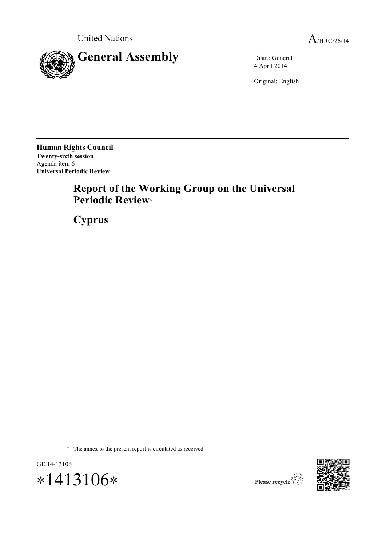



4 April 2014

Original: English

**Human Rights Council Twenty-sixth session** Agenda item 6 **Universal Periodic Review**

# **Report of the Working Group on the Universal Periodic Review**\*

**Cyprus**

\* The annex to the present report is circulated as received.





Please recycle  $\overleftrightarrow{C}$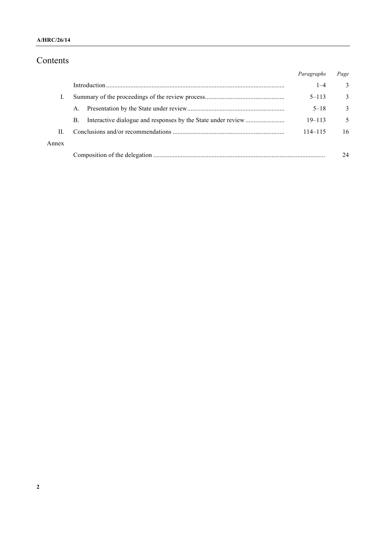#### **A/HRC/26/14**

# Contents

|       |             | Paragraphs  | Page |
|-------|-------------|-------------|------|
|       |             | $1 - 4$     | 3    |
|       |             | $5 - 113$   | 3    |
|       | $A_{\cdot}$ | $5 - 18$    | 3    |
|       | <b>B.</b>   | $19 - 113$  | 5    |
| H.    |             | $114 - 115$ | 16   |
| Annex |             |             |      |
|       |             |             | 24   |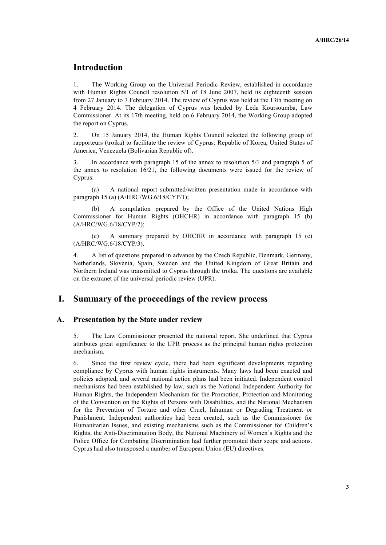## **Introduction**

1. The Working Group on the Universal Periodic Review, established in accordance with Human Rights Council resolution 5/1 of 18 June 2007, held its eighteenth session from 27 January to 7 February 2014. The review of Cyprus was held at the 13th meeting on 4 February 2014. The delegation of Cyprus was headed by Leda Koursoumba, Law Commissioner. At its 17th meeting, held on 6 February 2014, the Working Group adopted the report on Cyprus.

2. On 15 January 2014, the Human Rights Council selected the following group of rapporteurs (troika) to facilitate the review of Cyprus: Republic of Korea, United States of America, Venezuela (Bolivarian Republic of).

3. In accordance with paragraph 15 of the annex to resolution 5/1 and paragraph 5 of the annex to resolution 16/21, the following documents were issued for the review of Cyprus:

(a) A national report submitted/written presentation made in accordance with paragraph 15 (a) (A/HRC/WG.6/18/CYP/1);

A compilation prepared by the Office of the United Nations High Commissioner for Human Rights (OHCHR) in accordance with paragraph 15 (b) (A/HRC/WG.6/18/CYP/2);

(c) A summary prepared by OHCHR in accordance with paragraph 15 (c) (A/HRC/WG.6/18/CYP/3).

4. A list of questions prepared in advance by the Czech Republic, Denmark, Germany, Netherlands, Slovenia, Spain, Sweden and the United Kingdom of Great Britain and Northern Ireland was transmitted to Cyprus through the troika. The questions are available on the extranet of the universal periodic review (UPR).

### **I. Summary of the proceedings of the review process**

#### **A. Presentation by the State under review**

5. The Law Commissioner presented the national report. She underlined that Cyprus attributes great significance to the UPR process as the principal human rights protection mechanism.

6. Since the first review cycle, there had been significant developments regarding compliance by Cyprus with human rights instruments. Many laws had been enacted and policies adopted, and several national action plans had been initiated. Independent control mechanisms had been established by law, such as the National Independent Authority for Human Rights, the Independent Mechanism for the Promotion, Protection and Monitoring of the Convention on the Rights of Persons with Disabilities, and the National Mechanism for the Prevention of Torture and other Cruel, Inhuman or Degrading Treatment or Punishment. Independent authorities had been created, such as the Commissioner for Humanitarian Issues, and existing mechanisms such as the Commissioner for Children's Rights, the Anti-Discrimination Body, the National Machinery of Women's Rights and the Police Office for Combating Discrimination had further promoted their scope and actions. Cyprus had also transposed a number of European Union (EU) directives.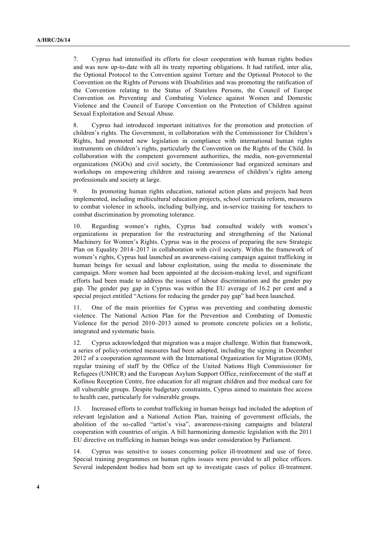7. Cyprus had intensified its efforts for closer cooperation with human rights bodies and was now up-to-date with all its treaty reporting obligations. It had ratified, inter alia, the Optional Protocol to the Convention against Torture and the Optional Protocol to the Convention on the Rights of Persons with Disabilities and was promoting the ratification of the Convention relating to the Status of Stateless Persons, the Council of Europe Convention on Preventing and Combating Violence against Women and Domestic Violence and the Council of Europe Convention on the Protection of Children against Sexual Exploitation and Sexual Abuse.

8. Cyprus had introduced important initiatives for the promotion and protection of children's rights. The Government, in collaboration with the Commissioner for Children's Rights, had promoted new legislation in compliance with international human rights instruments on children's rights, particularly the Convention on the Rights of the Child. In collaboration with the competent government authorities, the media, non-governmental organizations (NGOs) and civil society, the Commissioner had organized seminars and workshops on empowering children and raising awareness of children's rights among professionals and society at large.

9. In promoting human rights education, national action plans and projects had been implemented, including multicultural education projects, school curricula reform, measures to combat violence in schools, including bullying, and in-service training for teachers to combat discrimination by promoting tolerance.

10. Regarding women's rights, Cyprus had consulted widely with women's organizations in preparation for the restructuring and strengthening of the National Machinery for Women's Rights. Cyprus was in the process of preparing the new Strategic Plan on Equality 2014–2017 in collaboration with civil society. Within the framework of women's rights, Cyprus had launched an awareness-raising campaign against trafficking in human beings for sexual and labour exploitation, using the media to disseminate the campaign. More women had been appointed at the decision-making level, and significant efforts had been made to address the issues of labour discrimination and the gender pay gap. The gender pay gap in Cyprus was within the EU average of 16.2 per cent and a special project entitled "Actions for reducing the gender pay gap" had been launched.

11. One of the main priorities for Cyprus was preventing and combating domestic violence. The National Action Plan for the Prevention and Combating of Domestic Violence for the period 2010–2013 aimed to promote concrete policies on a holistic, integrated and systematic basis.

12. Cyprus acknowledged that migration was a major challenge. Within that framework, a series of policy-oriented measures had been adopted, including the signing in December 2012 of a cooperation agreement with the International Organization for Migration (IOM), regular training of staff by the Office of the United Nations High Commissioner for Refugees (UNHCR) and the European Asylum Support Office, reinforcement of the staff at Kofinou Reception Centre, free education for all migrant children and free medical care for all vulnerable groups. Despite budgetary constraints, Cyprus aimed to maintain free access to health care, particularly for vulnerable groups.

13. Increased efforts to combat trafficking in human beings had included the adoption of relevant legislation and a National Action Plan, training of government officials, the abolition of the so-called "artist's visa", awareness-raising campaigns and bilateral cooperation with countries of origin. A bill harmonizing domestic legislation with the 2011 EU directive on trafficking in human beings was under consideration by Parliament.

14. Cyprus was sensitive to issues concerning police ill-treatment and use of force. Special training programmes on human rights issues were provided to all police officers. Several independent bodies had been set up to investigate cases of police ill-treatment.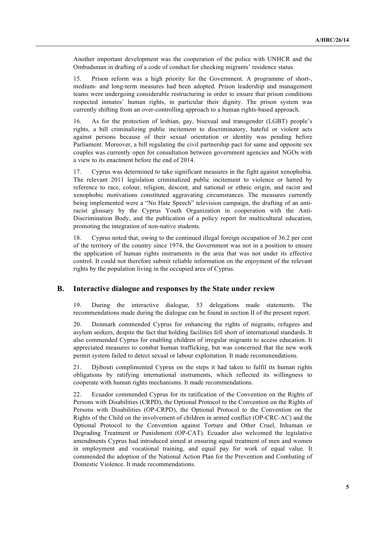Another important development was the cooperation of the police with UNHCR and the Ombudsman in drafting of a code of conduct for checking migrants' residence status.

15. Prison reform was a high priority for the Government. A programme of short-, medium- and long-term measures had been adopted. Prison leadership and management teams were undergoing considerable restructuring in order to ensure that prison conditions respected inmates' human rights, in particular their dignity. The prison system was currently shifting from an over-controlling approach to a human rights-based approach.

16. As for the protection of lesbian, gay, bisexual and transgender (LGBT) people's rights, a bill criminalizing public incitement to discriminatory, hateful or violent acts against persons because of their sexual orientation or identity was pending before Parliament. Moreover, a bill regulating the civil partnership pact for same and opposite sex couples was currently open for consultation between government agencies and NGOs with a view to its enactment before the end of 2014.

17. Cyprus was determined to take significant measures in the fight against xenophobia. The relevant 2011 legislation criminalized public incitement to violence or hatred by reference to race, colour, religion, descent, and national or ethnic origin, and racist and xenophobic motivations constituted aggravating circumstances. The measures currently being implemented were a "No Hate Speech" television campaign, the drafting of an antiracist glossary by the Cyprus Youth Organization in cooperation with the Anti-Discrimination Body, and the publication of a policy report for multicultural education, promoting the integration of non-native students.

18. Cyprus noted that, owing to the continued illegal foreign occupation of 36.2 per cent of the territory of the country since 1974, the Government was not in a position to ensure the application of human rights instruments in the area that was not under its effective control. It could not therefore submit reliable information on the enjoyment of the relevant rights by the population living in the occupied area of Cyprus.

#### **B. Interactive dialogue and responses by the State under review**

19. During the interactive dialogue, 53 delegations made statements. The recommendations made during the dialogue can be found in section II of the present report.

20. Denmark commended Cyprus for enhancing the rights of migrants, refugees and asylum seekers, despite the fact that holding facilities fell short of international standards. It also commended Cyprus for enabling children of irregular migrants to access education. It appreciated measures to combat human trafficking, but was concerned that the new work permit system failed to detect sexual or labour exploitation. It made recommendations.

21. Djibouti complimented Cyprus on the steps it had taken to fulfil its human rights obligations by ratifying international instruments, which reflected its willingness to cooperate with human rights mechanisms. It made recommendations.

22. Ecuador commended Cyprus for its ratification of the Convention on the Rights of Persons with Disabilities (CRPD), the Optional Protocol to the Convention on the Rights of Persons with Disabilities (OP-CRPD), the Optional Protocol to the Convention on the Rights of the Child on the involvement of children in armed conflict (OP-CRC-AC) and the Optional Protocol to the Convention against Torture and Other Cruel, Inhuman or Degrading Treatment or Punishment (OP-CAT). Ecuador also welcomed the legislative amendments Cyprus had introduced aimed at ensuring equal treatment of men and women in employment and vocational training, and equal pay for work of equal value. It commended the adoption of the National Action Plan for the Prevention and Combating of Domestic Violence. It made recommendations.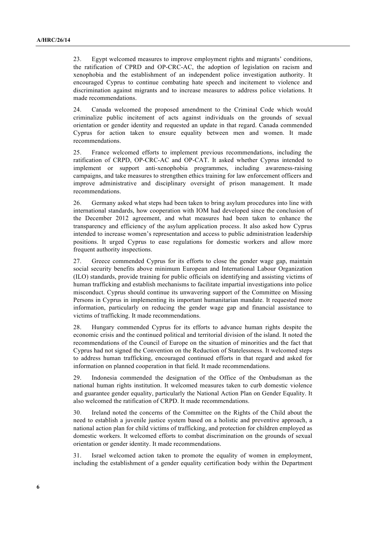23. Egypt welcomed measures to improve employment rights and migrants' conditions, the ratification of CPRD and OP-CRC-AC, the adoption of legislation on racism and xenophobia and the establishment of an independent police investigation authority. It encouraged Cyprus to continue combating hate speech and incitement to violence and discrimination against migrants and to increase measures to address police violations. It made recommendations.

24. Canada welcomed the proposed amendment to the Criminal Code which would criminalize public incitement of acts against individuals on the grounds of sexual orientation or gender identity and requested an update in that regard. Canada commended Cyprus for action taken to ensure equality between men and women. It made recommendations.

25. France welcomed efforts to implement previous recommendations, including the ratification of CRPD, OP-CRC-AC and OP-CAT. It asked whether Cyprus intended to implement or support anti-xenophobia programmes, including awareness-raising campaigns, and take measures to strengthen ethics training for law enforcement officers and improve administrative and disciplinary oversight of prison management. It made recommendations.

26. Germany asked what steps had been taken to bring asylum procedures into line with international standards, how cooperation with IOM had developed since the conclusion of the December 2012 agreement, and what measures had been taken to enhance the transparency and efficiency of the asylum application process. It also asked how Cyprus intended to increase women's representation and access to public administration leadership positions. It urged Cyprus to ease regulations for domestic workers and allow more frequent authority inspections.

27. Greece commended Cyprus for its efforts to close the gender wage gap, maintain social security benefits above minimum European and International Labour Organization (ILO) standards, provide training for public officials on identifying and assisting victims of human trafficking and establish mechanisms to facilitate impartial investigations into police misconduct. Cyprus should continue its unwavering support of the Committee on Missing Persons in Cyprus in implementing its important humanitarian mandate. It requested more information, particularly on reducing the gender wage gap and financial assistance to victims of trafficking. It made recommendations.

28. Hungary commended Cyprus for its efforts to advance human rights despite the economic crisis and the continued political and territorial division of the island. It noted the recommendations of the Council of Europe on the situation of minorities and the fact that Cyprus had not signed the Convention on the Reduction of Statelessness. It welcomed steps to address human trafficking, encouraged continued efforts in that regard and asked for information on planned cooperation in that field. It made recommendations.

29. Indonesia commended the designation of the Office of the Ombudsman as the national human rights institution. It welcomed measures taken to curb domestic violence and guarantee gender equality, particularly the National Action Plan on Gender Equality. It also welcomed the ratification of CRPD. It made recommendations.

30. Ireland noted the concerns of the Committee on the Rights of the Child about the need to establish a juvenile justice system based on a holistic and preventive approach, a national action plan for child victims of trafficking, and protection for children employed as domestic workers. It welcomed efforts to combat discrimination on the grounds of sexual orientation or gender identity. It made recommendations.

31. Israel welcomed action taken to promote the equality of women in employment, including the establishment of a gender equality certification body within the Department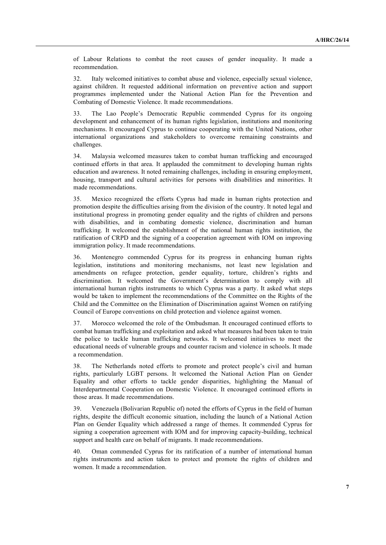of Labour Relations to combat the root causes of gender inequality. It made a recommendation.

32. Italy welcomed initiatives to combat abuse and violence, especially sexual violence, against children. It requested additional information on preventive action and support programmes implemented under the National Action Plan for the Prevention and Combating of Domestic Violence. It made recommendations.

33. The Lao People's Democratic Republic commended Cyprus for its ongoing development and enhancement of its human rights legislation, institutions and monitoring mechanisms. It encouraged Cyprus to continue cooperating with the United Nations, other international organizations and stakeholders to overcome remaining constraints and challenges.

34. Malaysia welcomed measures taken to combat human trafficking and encouraged continued efforts in that area. It applauded the commitment to developing human rights education and awareness. It noted remaining challenges, including in ensuring employment, housing, transport and cultural activities for persons with disabilities and minorities. It made recommendations.

35. Mexico recognized the efforts Cyprus had made in human rights protection and promotion despite the difficulties arising from the division of the country. It noted legal and institutional progress in promoting gender equality and the rights of children and persons with disabilities, and in combating domestic violence, discrimination and human trafficking. It welcomed the establishment of the national human rights institution, the ratification of CRPD and the signing of a cooperation agreement with IOM on improving immigration policy. It made recommendations.

36. Montenegro commended Cyprus for its progress in enhancing human rights legislation, institutions and monitoring mechanisms, not least new legislation and amendments on refugee protection, gender equality, torture, children's rights and discrimination. It welcomed the Government's determination to comply with all international human rights instruments to which Cyprus was a party. It asked what steps would be taken to implement the recommendations of the Committee on the Rights of the Child and the Committee on the Elimination of Discrimination against Women on ratifying Council of Europe conventions on child protection and violence against women.

37. Morocco welcomed the role of the Ombudsman. It encouraged continued efforts to combat human trafficking and exploitation and asked what measures had been taken to train the police to tackle human trafficking networks. It welcomed initiatives to meet the educational needs of vulnerable groups and counter racism and violence in schools. It made a recommendation.

38. The Netherlands noted efforts to promote and protect people's civil and human rights, particularly LGBT persons. It welcomed the National Action Plan on Gender Equality and other efforts to tackle gender disparities, highlighting the Manual of Interdepartmental Cooperation on Domestic Violence. It encouraged continued efforts in those areas. It made recommendations.

39. Venezuela (Bolivarian Republic of) noted the efforts of Cyprus in the field of human rights, despite the difficult economic situation, including the launch of a National Action Plan on Gender Equality which addressed a range of themes. It commended Cyprus for signing a cooperation agreement with IOM and for improving capacity-building, technical support and health care on behalf of migrants. It made recommendations.

40. Oman commended Cyprus for its ratification of a number of international human rights instruments and action taken to protect and promote the rights of children and women. It made a recommendation.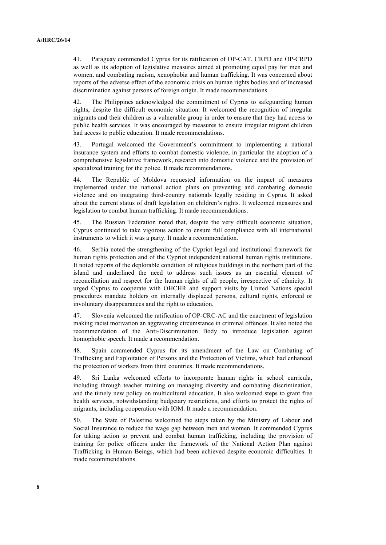41. Paraguay commended Cyprus for its ratification of OP-CAT, CRPD and OP-CRPD as well as its adoption of legislative measures aimed at promoting equal pay for men and women, and combating racism, xenophobia and human trafficking. It was concerned about reports of the adverse effect of the economic crisis on human rights bodies and of increased discrimination against persons of foreign origin. It made recommendations.

42. The Philippines acknowledged the commitment of Cyprus to safeguarding human rights, despite the difficult economic situation. It welcomed the recognition of irregular migrants and their children as a vulnerable group in order to ensure that they had access to public health services. It was encouraged by measures to ensure irregular migrant children had access to public education. It made recommendations.

43. Portugal welcomed the Government's commitment to implementing a national insurance system and efforts to combat domestic violence, in particular the adoption of a comprehensive legislative framework, research into domestic violence and the provision of specialized training for the police. It made recommendations.

44. The Republic of Moldova requested information on the impact of measures implemented under the national action plans on preventing and combating domestic violence and on integrating third-country nationals legally residing in Cyprus. It asked about the current status of draft legislation on children's rights. It welcomed measures and legislation to combat human trafficking. It made recommendations.

45. The Russian Federation noted that, despite the very difficult economic situation, Cyprus continued to take vigorous action to ensure full compliance with all international instruments to which it was a party. It made a recommendation.

46. Serbia noted the strengthening of the Cypriot legal and institutional framework for human rights protection and of the Cypriot independent national human rights institutions. It noted reports of the deplorable condition of religious buildings in the northern part of the island and underlined the need to address such issues as an essential element of reconciliation and respect for the human rights of all people, irrespective of ethnicity. It urged Cyprus to cooperate with OHCHR and support visits by United Nations special procedures mandate holders on internally displaced persons, cultural rights, enforced or involuntary disappearances and the right to education.

47. Slovenia welcomed the ratification of OP-CRC-AC and the enactment of legislation making racist motivation an aggravating circumstance in criminal offences. It also noted the recommendation of the Anti-Discrimination Body to introduce legislation against homophobic speech. It made a recommendation.

48. Spain commended Cyprus for its amendment of the Law on Combating of Trafficking and Exploitation of Persons and the Protection of Victims, which had enhanced the protection of workers from third countries. It made recommendations.

49. Sri Lanka welcomed efforts to incorporate human rights in school curricula, including through teacher training on managing diversity and combating discrimination, and the timely new policy on multicultural education. It also welcomed steps to grant free health services, notwithstanding budgetary restrictions, and efforts to protect the rights of migrants, including cooperation with IOM. It made a recommendation.

50. The State of Palestine welcomed the steps taken by the Ministry of Labour and Social Insurance to reduce the wage gap between men and women. It commended Cyprus for taking action to prevent and combat human trafficking, including the provision of training for police officers under the framework of the National Action Plan against Trafficking in Human Beings, which had been achieved despite economic difficulties. It made recommendations.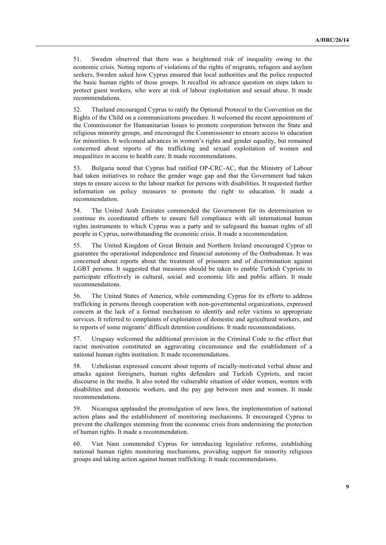51. Sweden observed that there was a heightened risk of inequality owing to the economic crisis. Noting reports of violations of the rights of migrants, refugees and asylum seekers, Sweden asked how Cyprus ensured that local authorities and the police respected the basic human rights of those groups. It recalled its advance question on steps taken to protect guest workers, who were at risk of labour exploitation and sexual abuse. It made recommendations.

52. Thailand encouraged Cyprus to ratify the Optional Protocol to the Convention on the Rights of the Child on a communications procedure. It welcomed the recent appointment of the Commissioner for Humanitarian Issues to promote cooperation between the State and religious minority groups, and encouraged the Commissioner to ensure access to education for minorities. It welcomed advances in women's rights and gender equality, but remained concerned about reports of the trafficking and sexual exploitation of women and inequalities in access to health care. It made recommendations.

53. Bulgaria noted that Cyprus had ratified OP-CRC-AC, that the Ministry of Labour had taken initiatives to reduce the gender wage gap and that the Government had taken steps to ensure access to the labour market for persons with disabilities. It requested further information on policy measures to promote the right to education. It made a recommendation.

54. The United Arab Emirates commended the Government for its determination to continue its coordinated efforts to ensure full compliance with all international human rights instruments to which Cyprus was a party and to safeguard the human rights of all people in Cyprus, notwithstanding the economic crisis. It made a recommendation.

55. The United Kingdom of Great Britain and Northern Ireland encouraged Cyprus to guarantee the operational independence and financial autonomy of the Ombudsman. It was concerned about reports about the treatment of prisoners and of discrimination against LGBT persons. It suggested that measures should be taken to enable Turkish Cypriots to participate effectively in cultural, social and economic life and public affairs. It made recommendations.

56. The United States of America, while commending Cyprus for its efforts to address trafficking in persons through cooperation with non-governmental organizations, expressed concern at the lack of a formal mechanism to identify and refer victims to appropriate services. It referred to complaints of exploitation of domestic and agricultural workers, and to reports of some migrants' difficult detention conditions. It made recommendations.

57. Uruguay welcomed the additional provision in the Criminal Code to the effect that racist motivation constituted an aggravating circumstance and the establishment of a national human rights institution. It made recommendations.

58. Uzbekistan expressed concern about reports of racially-motivated verbal abuse and attacks against foreigners, human rights defenders and Turkish Cypriots, and racist discourse in the media. It also noted the vulnerable situation of older women, women with disabilities and domestic workers, and the pay gap between men and women. It made recommendations.

59. Nicaragua applauded the promulgation of new laws, the implementation of national action plans and the establishment of monitoring mechanisms. It encouraged Cyprus to prevent the challenges stemming from the economic crisis from undermining the protection of human rights. It made a recommendation.

60. Viet Nam commended Cyprus for introducing legislative reforms, establishing national human rights monitoring mechanisms, providing support for minority religious groups and taking action against human trafficking. It made recommendations.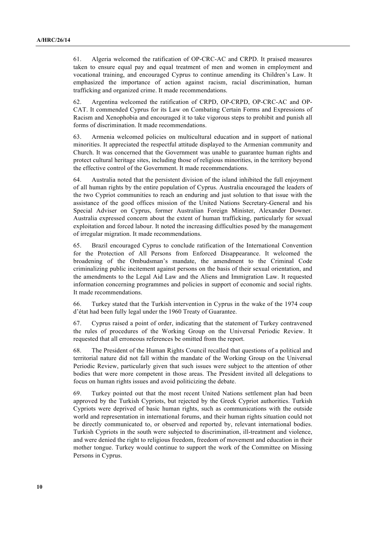61. Algeria welcomed the ratification of OP-CRC-AC and CRPD. It praised measures taken to ensure equal pay and equal treatment of men and women in employment and vocational training, and encouraged Cyprus to continue amending its Children's Law. It emphasized the importance of action against racism, racial discrimination, human trafficking and organized crime. It made recommendations.

62. Argentina welcomed the ratification of CRPD, OP-CRPD, OP-CRC-AC and OP-CAT. It commended Cyprus for its Law on Combating Certain Forms and Expressions of Racism and Xenophobia and encouraged it to take vigorous steps to prohibit and punish all forms of discrimination. It made recommendations.

63. Armenia welcomed policies on multicultural education and in support of national minorities. It appreciated the respectful attitude displayed to the Armenian community and Church. It was concerned that the Government was unable to guarantee human rights and protect cultural heritage sites, including those of religious minorities, in the territory beyond the effective control of the Government. It made recommendations.

64. Australia noted that the persistent division of the island inhibited the full enjoyment of all human rights by the entire population of Cyprus. Australia encouraged the leaders of the two Cypriot communities to reach an enduring and just solution to that issue with the assistance of the good offices mission of the United Nations Secretary-General and his Special Adviser on Cyprus, former Australian Foreign Minister, Alexander Downer. Australia expressed concern about the extent of human trafficking, particularly for sexual exploitation and forced labour. It noted the increasing difficulties posed by the management of irregular migration. It made recommendations.

65. Brazil encouraged Cyprus to conclude ratification of the International Convention for the Protection of All Persons from Enforced Disappearance. It welcomed the broadening of the Ombudsman's mandate, the amendment to the Criminal Code criminalizing public incitement against persons on the basis of their sexual orientation, and the amendments to the Legal Aid Law and the Aliens and Immigration Law. It requested information concerning programmes and policies in support of economic and social rights. It made recommendations.

66. Turkey stated that the Turkish intervention in Cyprus in the wake of the 1974 coup d'état had been fully legal under the 1960 Treaty of Guarantee.

67. Cyprus raised a point of order, indicating that the statement of Turkey contravened the rules of procedures of the Working Group on the Universal Periodic Review. It requested that all erroneous references be omitted from the report.

68. The President of the Human Rights Council recalled that questions of a political and territorial nature did not fall within the mandate of the Working Group on the Universal Periodic Review, particularly given that such issues were subject to the attention of other bodies that were more competent in those areas. The President invited all delegations to focus on human rights issues and avoid politicizing the debate.

69. Turkey pointed out that the most recent United Nations settlement plan had been approved by the Turkish Cypriots, but rejected by the Greek Cypriot authorities. Turkish Cypriots were deprived of basic human rights, such as communications with the outside world and representation in international forums, and their human rights situation could not be directly communicated to, or observed and reported by, relevant international bodies. Turkish Cypriots in the south were subjected to discrimination, ill-treatment and violence, and were denied the right to religious freedom, freedom of movement and education in their mother tongue. Turkey would continue to support the work of the Committee on Missing Persons in Cyprus.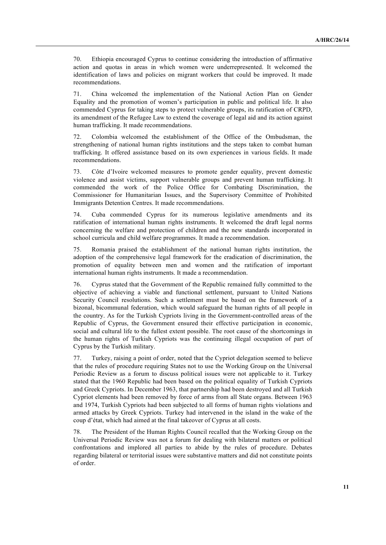70. Ethiopia encouraged Cyprus to continue considering the introduction of affirmative action and quotas in areas in which women were underrepresented. It welcomed the identification of laws and policies on migrant workers that could be improved. It made recommendations.

71. China welcomed the implementation of the National Action Plan on Gender Equality and the promotion of women's participation in public and political life. It also commended Cyprus for taking steps to protect vulnerable groups, its ratification of CRPD, its amendment of the Refugee Law to extend the coverage of legal aid and its action against human trafficking. It made recommendations.

72. Colombia welcomed the establishment of the Office of the Ombudsman, the strengthening of national human rights institutions and the steps taken to combat human trafficking. It offered assistance based on its own experiences in various fields. It made recommendations.

73. Côte d'Ivoire welcomed measures to promote gender equality, prevent domestic violence and assist victims, support vulnerable groups and prevent human trafficking. It commended the work of the Police Office for Combating Discrimination, the Commissioner for Humanitarian Issues, and the Supervisory Committee of Prohibited Immigrants Detention Centres. It made recommendations.

74. Cuba commended Cyprus for its numerous legislative amendments and its ratification of international human rights instruments. It welcomed the draft legal norms concerning the welfare and protection of children and the new standards incorporated in school curricula and child welfare programmes. It made a recommendation.

75. Romania praised the establishment of the national human rights institution, the adoption of the comprehensive legal framework for the eradication of discrimination, the promotion of equality between men and women and the ratification of important international human rights instruments. It made a recommendation.

76. Cyprus stated that the Government of the Republic remained fully committed to the objective of achieving a viable and functional settlement, pursuant to United Nations Security Council resolutions. Such a settlement must be based on the framework of a bizonal, bicommunal federation, which would safeguard the human rights of all people in the country. As for the Turkish Cypriots living in the Government-controlled areas of the Republic of Cyprus, the Government ensured their effective participation in economic, social and cultural life to the fullest extent possible. The root cause of the shortcomings in the human rights of Turkish Cypriots was the continuing illegal occupation of part of Cyprus by the Turkish military.

77. Turkey, raising a point of order, noted that the Cypriot delegation seemed to believe that the rules of procedure requiring States not to use the Working Group on the Universal Periodic Review as a forum to discuss political issues were not applicable to it. Turkey stated that the 1960 Republic had been based on the political equality of Turkish Cypriots and Greek Cypriots. In December 1963, that partnership had been destroyed and all Turkish Cypriot elements had been removed by force of arms from all State organs. Between 1963 and 1974, Turkish Cypriots had been subjected to all forms of human rights violations and armed attacks by Greek Cypriots. Turkey had intervened in the island in the wake of the coup d'état, which had aimed at the final takeover of Cyprus at all costs.

78. The President of the Human Rights Council recalled that the Working Group on the Universal Periodic Review was not a forum for dealing with bilateral matters or political confrontations and implored all parties to abide by the rules of procedure. Debates regarding bilateral or territorial issues were substantive matters and did not constitute points of order.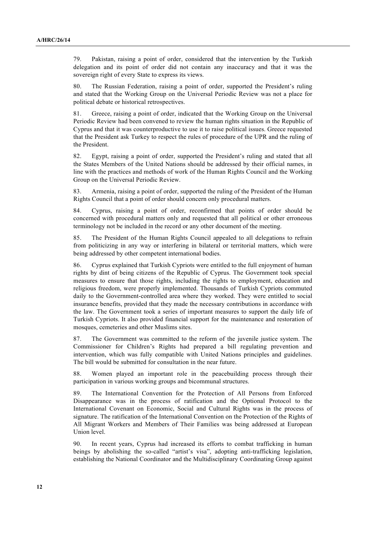79. Pakistan, raising a point of order, considered that the intervention by the Turkish delegation and its point of order did not contain any inaccuracy and that it was the sovereign right of every State to express its views.

80. The Russian Federation, raising a point of order, supported the President's ruling and stated that the Working Group on the Universal Periodic Review was not a place for political debate or historical retrospectives.

81. Greece, raising a point of order, indicated that the Working Group on the Universal Periodic Review had been convened to review the human rights situation in the Republic of Cyprus and that it was counterproductive to use it to raise political issues. Greece requested that the President ask Turkey to respect the rules of procedure of the UPR and the ruling of the President.

82. Egypt, raising a point of order, supported the President's ruling and stated that all the States Members of the United Nations should be addressed by their official names, in line with the practices and methods of work of the Human Rights Council and the Working Group on the Universal Periodic Review.

83. Armenia, raising a point of order, supported the ruling of the President of the Human Rights Council that a point of order should concern only procedural matters.

84. Cyprus, raising a point of order, reconfirmed that points of order should be concerned with procedural matters only and requested that all political or other erroneous terminology not be included in the record or any other document of the meeting.

85. The President of the Human Rights Council appealed to all delegations to refrain from politicizing in any way or interfering in bilateral or territorial matters, which were being addressed by other competent international bodies.

86. Cyprus explained that Turkish Cypriots were entitled to the full enjoyment of human rights by dint of being citizens of the Republic of Cyprus. The Government took special measures to ensure that those rights, including the rights to employment, education and religious freedom, were properly implemented. Thousands of Turkish Cypriots commuted daily to the Government-controlled area where they worked. They were entitled to social insurance benefits, provided that they made the necessary contributions in accordance with the law. The Government took a series of important measures to support the daily life of Turkish Cypriots. It also provided financial support for the maintenance and restoration of mosques, cemeteries and other Muslims sites.

87. The Government was committed to the reform of the juvenile justice system. The Commissioner for Children's Rights had prepared a bill regulating prevention and intervention, which was fully compatible with United Nations principles and guidelines. The bill would be submitted for consultation in the near future.

88. Women played an important role in the peacebuilding process through their participation in various working groups and bicommunal structures.

89. The International Convention for the Protection of All Persons from Enforced Disappearance was in the process of ratification and the Optional Protocol to the International Covenant on Economic, Social and Cultural Rights was in the process of signature. The ratification of the International Convention on the Protection of the Rights of All Migrant Workers and Members of Their Families was being addressed at European Union level.

90. In recent years, Cyprus had increased its efforts to combat trafficking in human beings by abolishing the so-called "artist's visa", adopting anti-trafficking legislation, establishing the National Coordinator and the Multidisciplinary Coordinating Group against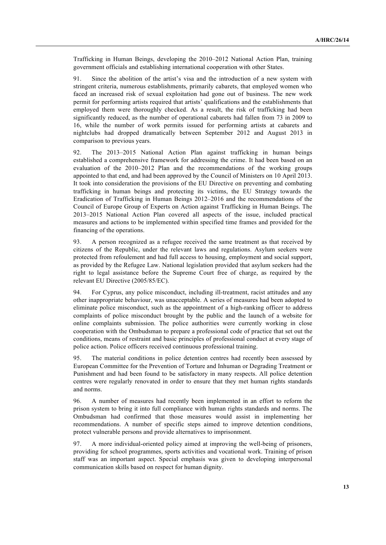Trafficking in Human Beings, developing the 2010–2012 National Action Plan, training government officials and establishing international cooperation with other States.

91. Since the abolition of the artist's visa and the introduction of a new system with stringent criteria, numerous establishments, primarily cabarets, that employed women who faced an increased risk of sexual exploitation had gone out of business. The new work permit for performing artists required that artists' qualifications and the establishments that employed them were thoroughly checked. As a result, the risk of trafficking had been significantly reduced, as the number of operational cabarets had fallen from 73 in 2009 to 16, while the number of work permits issued for performing artists at cabarets and nightclubs had dropped dramatically between September 2012 and August 2013 in comparison to previous years.

92. The 2013–2015 National Action Plan against trafficking in human beings established a comprehensive framework for addressing the crime. It had been based on an evaluation of the 2010–2012 Plan and the recommendations of the working groups appointed to that end, and had been approved by the Council of Ministers on 10 April 2013. It took into consideration the provisions of the EU Directive on preventing and combating trafficking in human beings and protecting its victims, the EU Strategy towards the Eradication of Trafficking in Human Beings 2012–2016 and the recommendations of the Council of Europe Group of Experts on Action against Trafficking in Human Beings. The 2013–2015 National Action Plan covered all aspects of the issue, included practical measures and actions to be implemented within specified time frames and provided for the financing of the operations.

93. A person recognized as a refugee received the same treatment as that received by citizens of the Republic, under the relevant laws and regulations. Asylum seekers were protected from refoulement and had full access to housing, employment and social support, as provided by the Refugee Law. National legislation provided that asylum seekers had the right to legal assistance before the Supreme Court free of charge, as required by the relevant EU Directive (2005/85/EC).

94. For Cyprus, any police misconduct, including ill-treatment, racist attitudes and any other inappropriate behaviour, was unacceptable. A series of measures had been adopted to eliminate police misconduct, such as the appointment of a high-ranking officer to address complaints of police misconduct brought by the public and the launch of a website for online complaints submission. The police authorities were currently working in close cooperation with the Ombudsman to prepare a professional code of practice that set out the conditions, means of restraint and basic principles of professional conduct at every stage of police action. Police officers received continuous professional training.

95. The material conditions in police detention centres had recently been assessed by European Committee for the Prevention of Torture and Inhuman or Degrading Treatment or Punishment and had been found to be satisfactory in many respects. All police detention centres were regularly renovated in order to ensure that they met human rights standards and norms.

96. A number of measures had recently been implemented in an effort to reform the prison system to bring it into full compliance with human rights standards and norms. The Ombudsman had confirmed that those measures would assist in implementing her recommendations. A number of specific steps aimed to improve detention conditions, protect vulnerable persons and provide alternatives to imprisonment.

97. A more individual-oriented policy aimed at improving the well-being of prisoners, providing for school programmes, sports activities and vocational work. Training of prison staff was an important aspect. Special emphasis was given to developing interpersonal communication skills based on respect for human dignity.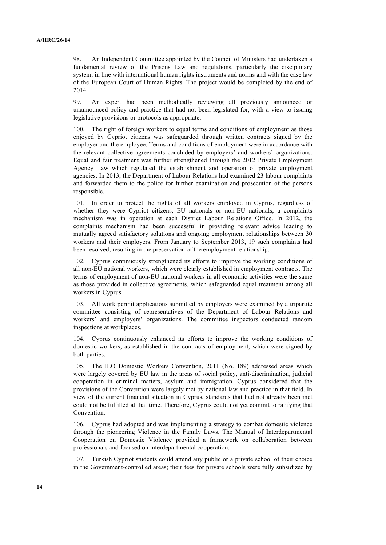98. An Independent Committee appointed by the Council of Ministers had undertaken a fundamental review of the Prisons Law and regulations, particularly the disciplinary system, in line with international human rights instruments and norms and with the case law of the European Court of Human Rights. The project would be completed by the end of 2014.

99. An expert had been methodically reviewing all previously announced or unannounced policy and practice that had not been legislated for, with a view to issuing legislative provisions or protocols as appropriate.

100. The right of foreign workers to equal terms and conditions of employment as those enjoyed by Cypriot citizens was safeguarded through written contracts signed by the employer and the employee. Terms and conditions of employment were in accordance with the relevant collective agreements concluded by employers' and workers' organizations. Equal and fair treatment was further strengthened through the 2012 Private Employment Agency Law which regulated the establishment and operation of private employment agencies. In 2013, the Department of Labour Relations had examined 23 labour complaints and forwarded them to the police for further examination and prosecution of the persons responsible.

101. In order to protect the rights of all workers employed in Cyprus, regardless of whether they were Cypriot citizens, EU nationals or non-EU nationals, a complaints mechanism was in operation at each District Labour Relations Οffice. In 2012, the complaints mechanism had been successful in providing relevant advice leading to mutually agreed satisfactory solutions and ongoing employment relationships between 30 workers and their employers. From January to September 2013, 19 such complaints had been resolved, resulting in the preservation of the employment relationship.

102. Cyprus continuously strengthened its efforts to improve the working conditions of all non-EU national workers, which were clearly established in employment contracts. The terms of employment of non-EU national workers in all economic activities were the same as those provided in collective agreements, which safeguarded equal treatment among all workers in Cyprus.

103. All work permit applications submitted by employers were examined by a tripartite committee consisting of representatives of the Department of Labour Relations and workers' and employers' organizations. The committee inspectors conducted random inspections at workplaces.

104. Cyprus continuously enhanced its efforts to improve the working conditions of domestic workers, as established in the contracts of employment, which were signed by both parties.

105. The ILO Domestic Workers Convention, 2011 (No. 189) addressed areas which were largely covered by EU law in the areas of social policy, anti-discrimination, judicial cooperation in criminal matters, asylum and immigration. Cyprus considered that the provisions of the Convention were largely met by national law and practice in that field. In view of the current financial situation in Cyprus, standards that had not already been met could not be fulfilled at that time. Therefore, Cyprus could not yet commit to ratifying that Convention.

106. Cyprus had adopted and was implementing a strategy to combat domestic violence through the pioneering Violence in the Family Laws. The Manual of Interdepartmental Cooperation on Domestic Violence provided a framework on collaboration between professionals and focused on interdepartmental cooperation.

107. Turkish Cypriot students could attend any public or a private school of their choice in the Government-controlled areas; their fees for private schools were fully subsidized by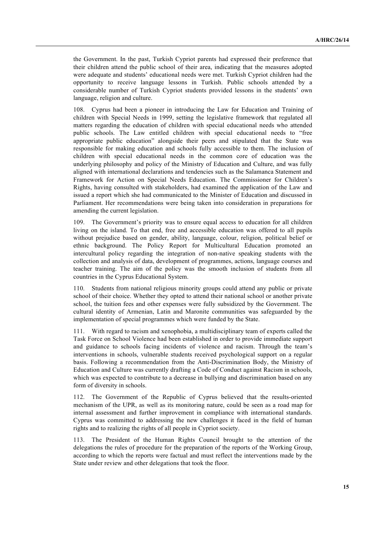the Government. In the past, Turkish Cypriot parents had expressed their preference that their children attend the public school of their area, indicating that the measures adopted were adequate and students' educational needs were met. Turkish Cypriot children had the opportunity to receive language lessons in Turkish. Public schools attended by a considerable number of Turkish Cypriot students provided lessons in the students' own language, religion and culture.

108. Cyprus had been a pioneer in introducing the Law for Education and Training of children with Special Needs in 1999, setting the legislative framework that regulated all matters regarding the education of children with special educational needs who attended public schools. The Law entitled children with special educational needs to "free appropriate public education" alongside their peers and stipulated that the State was responsible for making education and schools fully accessible to them. The inclusion of children with special educational needs in the common core of education was the underlying philosophy and policy of the Ministry of Education and Culture, and was fully aligned with international declarations and tendencies such as the Salamanca Statement and Framework for Action on Special Needs Education. The Commissioner for Children's Rights, having consulted with stakeholders, had examined the application of the Law and issued a report which she had communicated to the Minister of Education and discussed in Parliament. Her recommendations were being taken into consideration in preparations for amending the current legislation.

109. The Government's priority was to ensure equal access to education for all children living on the island. To that end, free and accessible education was offered to all pupils without prejudice based on gender, ability, language, colour, religion, political belief or ethnic background. The Policy Report for Multicultural Education promoted an intercultural policy regarding the integration of non-native speaking students with the collection and analysis of data, development of programmes, actions, language courses and teacher training. The aim of the policy was the smooth inclusion of students from all countries in the Cyprus Educational System.

110. Students from national religious minority groups could attend any public or private school of their choice. Whether they opted to attend their national school or another private school, the tuition fees and other expenses were fully subsidized by the Government. The cultural identity of Armenian, Latin and Maronite communities was safeguarded by the implementation of special programmes which were funded by the State.

111. With regard to racism and xenophobia, a multidisciplinary team of experts called the Task Force on School Violence had been established in order to provide immediate support and guidance to schools facing incidents of violence and racism. Through the team's interventions in schools, vulnerable students received psychological support on a regular basis. Following a recommendation from the Anti-Discrimination Body, the Ministry of Education and Culture was currently drafting a Code of Conduct against Racism in schools, which was expected to contribute to a decrease in bullying and discrimination based on any form of diversity in schools.

112. The Government of the Republic of Cyprus believed that the results-oriented mechanism of the UPR, as well as its monitoring nature, could be seen as a road map for internal assessment and further improvement in compliance with international standards. Cyprus was committed to addressing the new challenges it faced in the field of human rights and to realizing the rights of all people in Cypriot society.

113. The President of the Human Rights Council brought to the attention of the delegations the rules of procedure for the preparation of the reports of the Working Group, according to which the reports were factual and must reflect the interventions made by the State under review and other delegations that took the floor.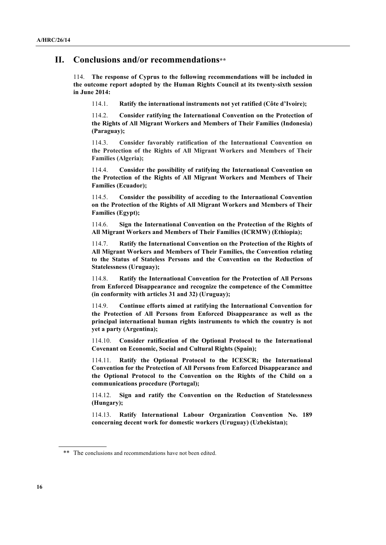#### **II. Conclusions and/or recommendations\*\***

114. **The response of Cyprus to the following recommendations will be included in the outcome report adopted by the Human Rights Council at its twenty-sixth session in June 2014:**

114.1. **Ratify the international instruments not yet ratified (Côte d'Ivoire);**

114.2. **Consider ratifying the International Convention on the Protection of the Rights of All Migrant Workers and Members of Their Families (Indonesia) (Paraguay);**

114.3. **Consider favorably ratification of the International Convention on the Protection of the Rights of All Migrant Workers and Members of Their Families (Algeria);**

114.4. **Consider the possibility of ratifying the International Convention on the Protection of the Rights of All Migrant Workers and Members of Their Families (Ecuador);**

114.5. **Consider the possibility of acceding to the International Convention on the Protection of the Rights of All Migrant Workers and Members of Their Families (Egypt);**

114.6. **Sign the International Convention on the Protection of the Rights of All Migrant Workers and Members of Their Families (ICRMW) (Ethiopia);**

114.7. **Ratify the International Convention on the Protection of the Rights of All Migrant Workers and Members of Their Families, the Convention relating to the Status of Stateless Persons and the Convention on the Reduction of Statelessness (Uruguay);**

114.8. **Ratify the International Convention for the Protection of All Persons from Enforced Disappearance and recognize the competence of the Committee (in conformity with articles 31 and 32) (Uruguay);**

114.9. **Continue efforts aimed at ratifying the International Convention for the Protection of All Persons from Enforced Disappearance as well as the principal international human rights instruments to which the country is not yet a party (Argentina);**

114.10. **Consider ratification of the Optional Protocol to the International Covenant on Economic, Social and Cultural Rights (Spain);**

114.11. **Ratify the Optional Protocol to the ICESCR; the International Convention for the Protection of All Persons from Enforced Disappearance and the Optional Protocol to the Convention on the Rights of the Child on a communications procedure (Portugal);**

114.12. **Sign and ratify the Convention on the Reduction of Statelessness (Hungary);**

114.13. **Ratify International Labour Organization Convention No. 189 concerning decent work for domestic workers (Uruguay) (Uzbekistan);**

<sup>\*\*</sup> The conclusions and recommendations have not been edited.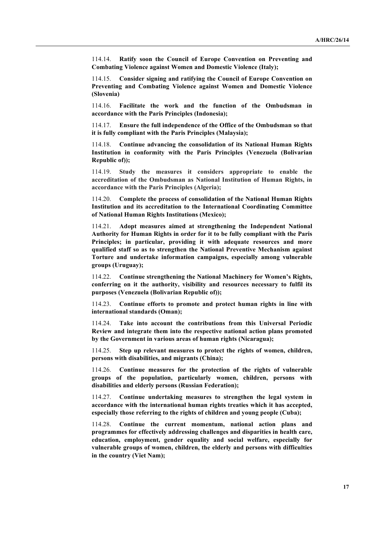114.14. **Ratify soon the Council of Europe Convention on Preventing and Combating Violence against Women and Domestic Violence (Italy);**

114.15. **Consider signing and ratifying the Council of Europe Convention on Preventing and Combating Violence against Women and Domestic Violence (Slovenia)**

114.16. **Facilitate the work and the function of the Ombudsman in accordance with the Paris Principles (Indonesia);**

114.17. **Ensure the full independence of the Office of the Ombudsman so that it is fully compliant with the Paris Principles (Malaysia);**

114.18. **Continue advancing the consolidation of its National Human Rights Institution in conformity with the Paris Principles (Venezuela (Bolivarian Republic of));**

114.19. **Study the measures it considers appropriate to enable the accreditation of the Ombudsman as National Institution of Human Rights, in accordance with the Paris Principles (Algeria);**

114.20. **Complete the process of consolidation of the National Human Rights Institution and its accreditation to the International Coordinating Committee of National Human Rights Institutions (Mexico);**

114.21. **Adopt measures aimed at strengthening the Independent National Authority for Human Rights in order for it to be fully compliant with the Paris Principles; in particular, providing it with adequate resources and more qualified staff so as to strengthen the National Preventive Mechanism against Torture and undertake information campaigns, especially among vulnerable groups (Uruguay);**

114.22. **Continue strengthening the National Machinery for Women's Rights, conferring on it the authority, visibility and resources necessary to fulfil its purposes (Venezuela (Bolivarian Republic of));**

114.23. **Continue efforts to promote and protect human rights in line with international standards (Oman);**

114.24. **Take into account the contributions from this Universal Periodic Review and integrate them into the respective national action plans promoted by the Government in various areas of human rights (Nicaragua);**

114.25. **Step up relevant measures to protect the rights of women, children, persons with disabilities, and migrants (China);**

114.26. **Continue measures for the protection of the rights of vulnerable groups of the population, particularly women, children, persons with disabilities and elderly persons (Russian Federation);**

114.27. **Continue undertaking measures to strengthen the legal system in accordance with the international human rights treaties which it has accepted, especially those referring to the rights of children and young people (Cuba);**

114.28. **Continue the current momentum, national action plans and programmes for effectively addressing challenges and disparities in health care, education, employment, gender equality and social welfare, especially for vulnerable groups of women, children, the elderly and persons with difficulties in the country (Viet Nam);**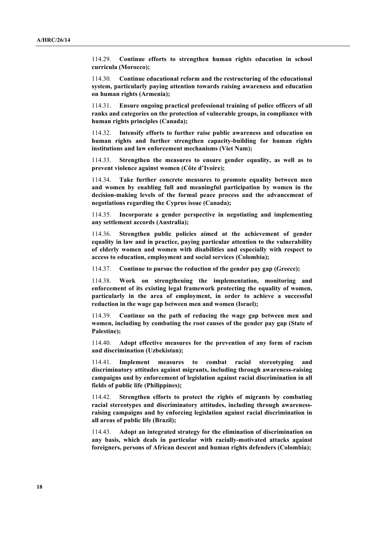114.29. **Continue efforts to strengthen human rights education in school curricula (Morocco);**

114.30. **Continue educational reform and the restructuring of the educational system, particularly paying attention towards raising awareness and education on human rights (Armenia);**

114.31. **Ensure ongoing practical professional training of police officers of all ranks and categories on the protection of vulnerable groups, in compliance with human rights principles (Canada);**

114.32. **Intensify efforts to further raise public awareness and education on human rights and further strengthen capacity-building for human rights institutions and law enforcement mechanisms (Viet Nam);**

114.33. **Strengthen the measures to ensure gender equality, as well as to prevent violence against women (Côte d'Ivoire);**

114.34. **Take further concrete measures to promote equality between men and women by enabling full and meaningful participation by women in the decision-making levels of the formal peace process and the advancement of negotiations regarding the Cyprus issue (Canada);**

114.35. **Incorporate a gender perspective in negotiating and implementing any settlement accords (Australia);**

114.36. **Strengthen public policies aimed at the achievement of gender equality in law and in practice, paying particular attention to the vulnerability of elderly women and women with disabilities and especially with respect to access to education, employment and social services (Colombia);**

114.37. **Continue to pursue the reduction of the gender pay gap (Greece);**

114.38. **Work on strengthening the implementation, monitoring and enforcement of its existing legal framework protecting the equality of women, particularly in the area of employment, in order to achieve a successful reduction in the wage gap between men and women (Israel);**

114.39. **Continue on the path of reducing the wage gap between men and women, including by combating the root causes of the gender pay gap (State of Palestine);**

114.40. **Adopt effective measures for the prevention of any form of racism and discrimination (Uzbekistan);**

114.41. **Implement measures to combat racial stereotyping and discriminatory attitudes against migrants, including through awareness-raising campaigns and by enforcement of legislation against racial discrimination in all fields of public life (Philippines);**

114.42. **Strengthen efforts to protect the rights of migrants by combating racial stereotypes and discriminatory attitudes, including through awarenessraising campaigns and by enforcing legislation against racial discrimination in all areas of public life (Brazil);**

114.43. **Adopt an integrated strategy for the elimination of discrimination on any basis, which deals in particular with racially-motivated attacks against foreigners, persons of African descent and human rights defenders (Colombia);**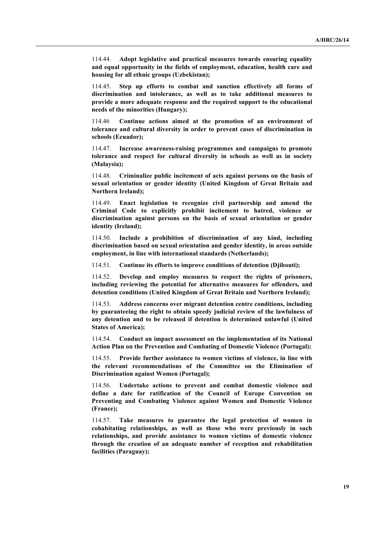114.44. **Adopt legislative and practical measures towards ensuring equality and equal opportunity in the fields of employment, education, health care and housing for all ethnic groups (Uzbekistan);**

114.45. **Step up efforts to combat and sanction effectively all forms of discrimination and intolerance, as well as to take additional measures to provide a more adequate response and the required support to the educational needs of the minorities (Hungary);**

114.46 **Continue actions aimed at the promotion of an environment of tolerance and cultural diversity in order to prevent cases of discrimination in schools (Ecuador);**

114.47. **Increase awareness-raising programmes and campaigns to promote tolerance and respect for cultural diversity in schools as well as in society (Malaysia);**

114.48. **Criminalize public incitement of acts against persons on the basis of sexual orientation or gender identity (United Kingdom of Great Britain and Northern Ireland);**

114.49. **Enact legislation to recognize civil partnership and amend the Criminal Code to explicitly prohibit incitement to hatred, violence or discrimination against persons on the basis of sexual orientation or gender identity (Ireland);**

114.50. **Include a prohibition of discrimination of any kind, including discrimination based on sexual orientation and gender identity, in areas outside employment, in line with international standards (Netherlands);**

114.51. **Continue its efforts to improve conditions of detention (Djibouti);**

114.52. **Develop and employ measures to respect the rights of prisoners, including reviewing the potential for alternative measures for offenders, and detention conditions (United Kingdom of Great Britain and Northern Ireland);**

114.53. **Address concerns over migrant detention centre conditions, including by guaranteeing the right to obtain speedy judicial review of the lawfulness of any detention and to be released if detention is determined unlawful (United States of America);**

114.54. **Conduct an impact assessment on the implementation of its National Action Plan on the Prevention and Combating of Domestic Violence (Portugal);**

114.55. **Provide further assistance to women victims of violence, in line with the relevant recommendations of the Committee on the Elimination of Discrimination against Women (Portugal);**

114.56. **Undertake actions to prevent and combat domestic violence and define a date for ratification of the Council of Europe Convention on Preventing and Combating Violence against Women and Domestic Violence (France);**

114.57. **Take measures to guarantee the legal protection of women in cohabitating relationships, as well as those who were previously in such relationships, and provide assistance to women victims of domestic violence through the creation of an adequate number of reception and rehabilitation facilities (Paraguay);**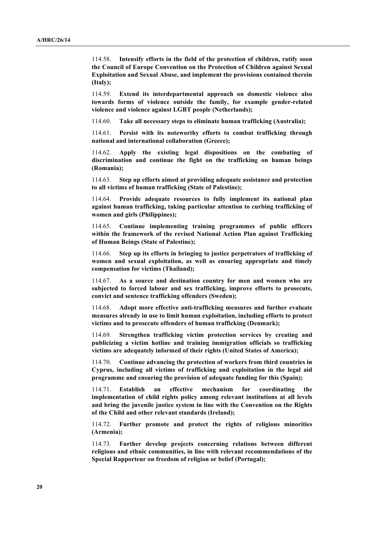114.58. **Intensify efforts in the field of the protection of children, ratify soon the Council of Europe Convention on the Protection of Children against Sexual Exploitation and Sexual Abuse, and implement the provisions contained therein (Italy);**

114.59. **Extend its interdepartmental approach on domestic violence also towards forms of violence outside the family, for example gender-related violence and violence against LGBT people (Netherlands);**

114.60. **Take all necessary steps to eliminate human trafficking (Australia);**

114.61. **Persist with its noteworthy efforts to combat trafficking through national and international collaboration (Greece);**

114.62. **Apply the existing legal dispositions on the combating of discrimination and continue the fight on the trafficking on human beings (Romania);**

114.63. **Step up efforts aimed at providing adequate assistance and protection to all victims of human trafficking (State of Palestine);**

114.64. **Provide adequate resources to fully implement its national plan against human trafficking, taking particular attention to curbing trafficking of women and girls (Philippines);**

114.65. **Continue implementing training programmes of public officers within the framework of the revised National Action Plan against Trafficking of Human Beings (State of Palestine);**

114.66. **Step up its efforts in bringing to justice perpetrators of trafficking of women and sexual exploitation, as well as ensuring appropriate and timely compensation for victims (Thailand);**

114.67. **As a source and destination country for men and women who are subjected to forced labour and sex trafficking, improve efforts to prosecute, convict and sentence trafficking offenders (Sweden);**

114.68. **Adopt more effective anti-trafficking measures and further evaluate measures already in use to limit human exploitation, including efforts to protect victims and to prosecute offenders of human trafficking (Denmark);**

114.69. **Strengthen trafficking victim protection services by creating and publicizing a victim hotline and training immigration officials so trafficking victims are adequately informed of their rights (United States of America);**

114.70. **Continue advancing the protection of workers from third countries in Cyprus, including all victims of trafficking and exploitation in the legal aid programme and ensuring the provision of adequate funding for this (Spain);**

114.71. **Establish an effective mechanism for coordinating the implementation of child rights policy among relevant institutions at all levels and bring the juvenile justice system in line with the Convention on the Rights of the Child and other relevant standards (Ireland);**

114.72. **Further promote and protect the rights of religious minorities (Armenia);**

114.73. **Further develop projects concerning relations between different religious and ethnic communities, in line with relevant recommendations of the Special Rapporteur on freedom of religion or belief (Portugal);**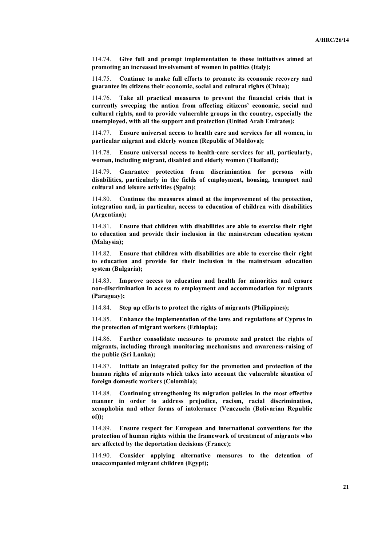114.74. **Give full and prompt implementation to those initiatives aimed at promoting an increased involvement of women in politics (Italy);**

114.75. **Continue to make full efforts to promote its economic recovery and guarantee its citizens their economic, social and cultural rights (China);**

114.76. **Take all practical measures to prevent the financial crisis that is currently sweeping the nation from affecting citizens' economic, social and cultural rights, and to provide vulnerable groups in the country, especially the unemployed, with all the support and protection (United Arab Emirates);**

114.77. **Ensure universal access to health care and services for all women, in particular migrant and elderly women (Republic of Moldova);**

114.78. **Ensure universal access to health-care services for all, particularly, women, including migrant, disabled and elderly women (Thailand);**

114.79. **Guarantee protection from discrimination for persons with disabilities, particularly in the fields of employment, housing, transport and cultural and leisure activities (Spain);**

114.80. **Continue the measures aimed at the improvement of the protection, integration and, in particular, access to education of children with disabilities (Argentina);**

114.81. **Ensure that children with disabilities are able to exercise their right to education and provide their inclusion in the mainstream education system (Malaysia);**

114.82. **Ensure that children with disabilities are able to exercise their right to education and provide for their inclusion in the mainstream education system (Bulgaria);**

114.83. **Improve access to education and health for minorities and ensure non-discrimination in access to employment and accommodation for migrants (Paraguay);**

114.84. **Step up efforts to protect the rights of migrants (Philippines);**

114.85. **Enhance the implementation of the laws and regulations of Cyprus in the protection of migrant workers (Ethiopia);**

114.86. **Further consolidate measures to promote and protect the rights of migrants, including through monitoring mechanisms and awareness-raising of the public (Sri Lanka);**

114.87. **Initiate an integrated policy for the promotion and protection of the human rights of migrants which takes into account the vulnerable situation of foreign domestic workers (Colombia);**

114.88. **Continuing strengthening its migration policies in the most effective manner in order to address prejudice, racism, racial discrimination, xenophobia and other forms of intolerance (Venezuela (Bolivarian Republic of));**

114.89. **Ensure respect for European and international conventions for the protection of human rights within the framework of treatment of migrants who are affected by the deportation decisions (France);**

114.90. **Consider applying alternative measures to the detention of unaccompanied migrant children (Egypt);**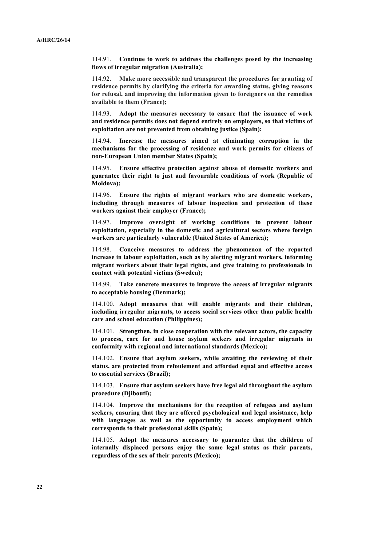114.91. **Continue to work to address the challenges posed by the increasing flows of irregular migration (Australia);**

114.92. **Make more accessible and transparent the procedures for granting of residence permits by clarifying the criteria for awarding status, giving reasons for refusal, and improving the information given to foreigners on the remedies available to them (France);**

114.93. **Adopt the measures necessary to ensure that the issuance of work and residence permits does not depend entirely on employers, so that victims of exploitation are not prevented from obtaining justice (Spain);**

114.94. **Increase the measures aimed at eliminating corruption in the mechanisms for the processing of residence and work permits for citizens of non-European Union member States (Spain);**

114.95. **Ensure effective protection against abuse of domestic workers and guarantee their right to just and favourable conditions of work (Republic of Moldova);**

114.96. **Ensure the rights of migrant workers who are domestic workers, including through measures of labour inspection and protection of these workers against their employer (France);**

114.97. **Improve oversight of working conditions to prevent labour exploitation, especially in the domestic and agricultural sectors where foreign workers are particularly vulnerable (United States of America);**

114.98. **Conceive measures to address the phenomenon of the reported increase in labour exploitation, such as by alerting migrant workers, informing migrant workers about their legal rights, and give training to professionals in contact with potential victims (Sweden);**

114.99. **Take concrete measures to improve the access of irregular migrants to acceptable housing (Denmark);**

114.100. **Adopt measures that will enable migrants and their children, including irregular migrants, to access social services other than public health care and school education (Philippines);**

114.101. **Strengthen, in close cooperation with the relevant actors, the capacity to process, care for and house asylum seekers and irregular migrants in conformity with regional and international standards (Mexico);**

114.102. **Ensure that asylum seekers, while awaiting the reviewing of their status, are protected from refoulement and afforded equal and effective access to essential services (Brazil);**

114.103. **Ensure that asylum seekers have free legal aid throughout the asylum procedure (Djibouti);**

114.104. **Improve the mechanisms for the reception of refugees and asylum seekers, ensuring that they are offered psychological and legal assistance, help with languages as well as the opportunity to access employment which corresponds to their professional skills (Spain);**

114.105. **Adopt the measures necessary to guarantee that the children of internally displaced persons enjoy the same legal status as their parents, regardless of the sex of their parents (Mexico);**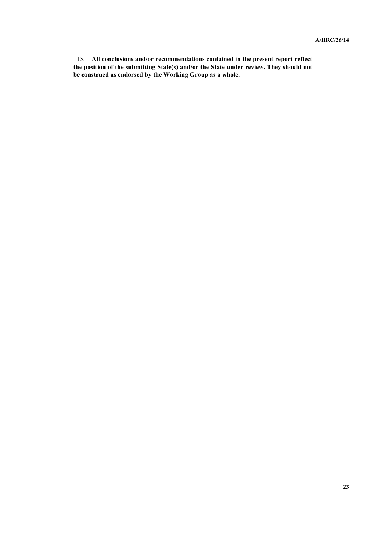115. **All conclusions and/or recommendations contained in the present report reflect the position of the submitting State(s) and/or the State under review. They should not be construed as endorsed by the Working Group as a whole.**